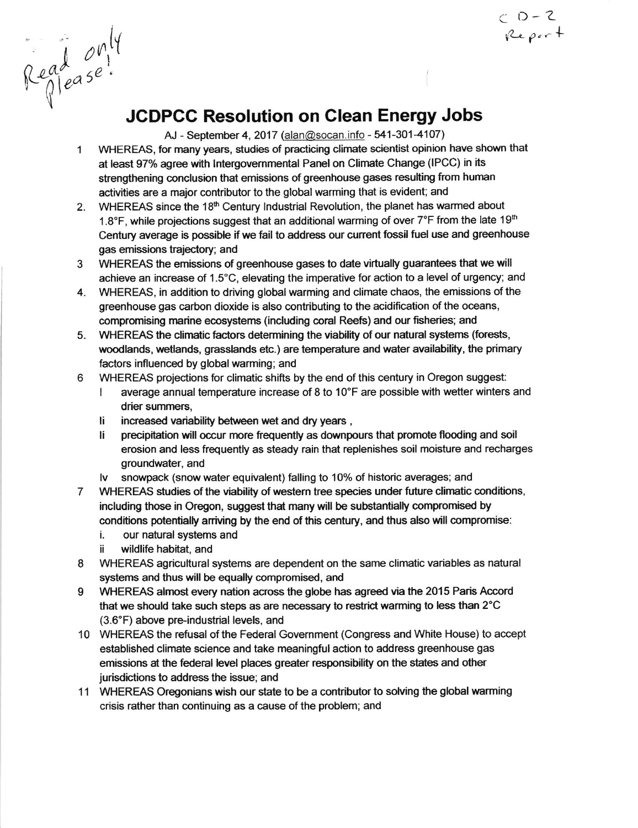$0 - 2$ <br>Report

**JCDPCC Resolution on Clean Energy Jobs** 

AJ - September 4, 2017 (alan@socan.info - 541-301-4107)

- WHEREAS, for many years, studies of practicing climate scientist opinion have shown that  $\mathbf{1}$ at least 97% agree with Intergovernmental Panel on Climate Change (IPCC) in its strengthening conclusion that emissions of greenhouse gases resulting from human activities are a major contributor to the global warming that is evident; and
- 2. WHEREAS since the 18th Century Industrial Revolution, the planet has warmed about 1.8°F, while projections suggest that an additional warming of over 7°F from the late 19<sup>th</sup> Century average is possible if we fail to address our current fossil fuel use and greenhouse gas emissions trajectory; and
- WHEREAS the emissions of greenhouse gases to date virtually guarantees that we will 3 achieve an increase of 1.5°C, elevating the imperative for action to a level of urgency; and
- 4. WHEREAS, in addition to driving global warming and climate chaos, the emissions of the greenhouse gas carbon dioxide is also contributing to the acidification of the oceans, compromising marine ecosystems (including coral Reefs) and our fisheries; and
- WHEREAS the climatic factors determining the viability of our natural systems (forests, 5. woodlands, wetlands, grasslands etc.) are temperature and water availability, the primary factors influenced by global warming; and
- WHEREAS projections for climatic shifts by the end of this century in Oregon suggest: 6
	- average annual temperature increase of 8 to 10°F are possible with wetter winters and  $\mathbf{I}$ drier summers,
	- increased variability between wet and dry years, li.
	- li precipitation will occur more frequently as downpours that promote flooding and soil erosion and less frequently as steady rain that replenishes soil moisture and recharges groundwater, and
	- snowpack (snow water equivalent) falling to 10% of historic averages; and l٧
- WHEREAS studies of the viability of western tree species under future climatic conditions,  $\overline{7}$ including those in Oregon, suggest that many will be substantially compromised by conditions potentially arriving by the end of this century, and thus also will compromise:
	- i. our natural systems and
	- ii. wildlife habitat, and

Read only

- 8 WHEREAS agricultural systems are dependent on the same climatic variables as natural systems and thus will be equally compromised, and
- 9 WHEREAS almost every nation across the globe has agreed via the 2015 Paris Accord that we should take such steps as are necessary to restrict warming to less than 2°C (3.6°F) above pre-industrial levels, and
- 10 WHEREAS the refusal of the Federal Government (Congress and White House) to accept established climate science and take meaningful action to address greenhouse gas emissions at the federal level places greater responsibility on the states and other jurisdictions to address the issue; and
- 11 WHEREAS Oregonians wish our state to be a contributor to solving the global warming crisis rather than continuing as a cause of the problem; and